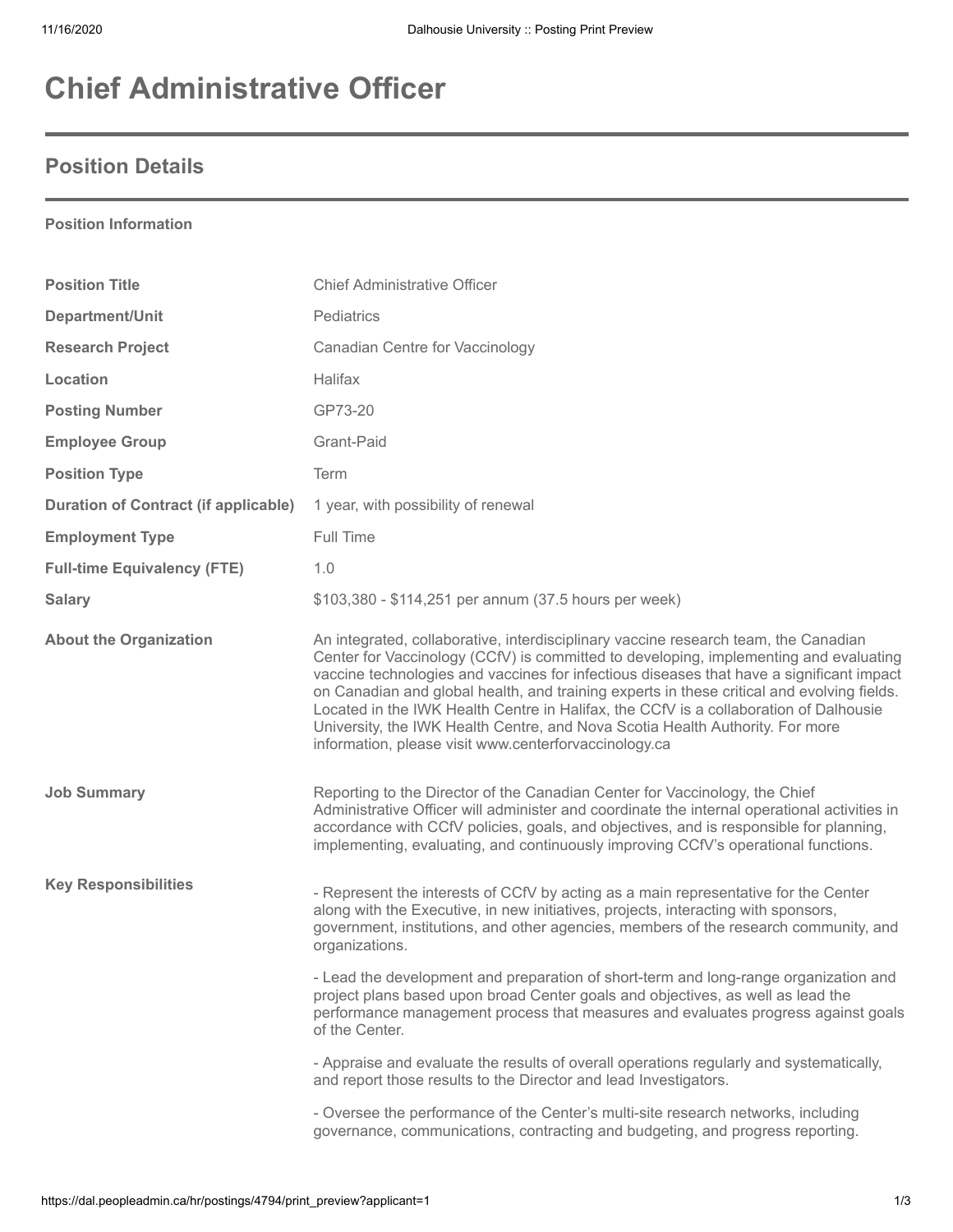# **Chief Administrative Officer**

## **Position Details**

**Position Information**

| <b>Position Title</b>                       | <b>Chief Administrative Officer</b>                                                                                                                                                                                                                                                                                                                                                                                                                                                                                                                                                                       |
|---------------------------------------------|-----------------------------------------------------------------------------------------------------------------------------------------------------------------------------------------------------------------------------------------------------------------------------------------------------------------------------------------------------------------------------------------------------------------------------------------------------------------------------------------------------------------------------------------------------------------------------------------------------------|
| Department/Unit                             | Pediatrics                                                                                                                                                                                                                                                                                                                                                                                                                                                                                                                                                                                                |
| <b>Research Project</b>                     | <b>Canadian Centre for Vaccinology</b>                                                                                                                                                                                                                                                                                                                                                                                                                                                                                                                                                                    |
| Location                                    | <b>Halifax</b>                                                                                                                                                                                                                                                                                                                                                                                                                                                                                                                                                                                            |
| <b>Posting Number</b>                       | GP73-20                                                                                                                                                                                                                                                                                                                                                                                                                                                                                                                                                                                                   |
| <b>Employee Group</b>                       | Grant-Paid                                                                                                                                                                                                                                                                                                                                                                                                                                                                                                                                                                                                |
| <b>Position Type</b>                        | Term                                                                                                                                                                                                                                                                                                                                                                                                                                                                                                                                                                                                      |
| <b>Duration of Contract (if applicable)</b> | 1 year, with possibility of renewal                                                                                                                                                                                                                                                                                                                                                                                                                                                                                                                                                                       |
| <b>Employment Type</b>                      | Full Time                                                                                                                                                                                                                                                                                                                                                                                                                                                                                                                                                                                                 |
| <b>Full-time Equivalency (FTE)</b>          | 1.0                                                                                                                                                                                                                                                                                                                                                                                                                                                                                                                                                                                                       |
| <b>Salary</b>                               | \$103,380 - \$114,251 per annum (37.5 hours per week)                                                                                                                                                                                                                                                                                                                                                                                                                                                                                                                                                     |
| <b>About the Organization</b>               | An integrated, collaborative, interdisciplinary vaccine research team, the Canadian<br>Center for Vaccinology (CCfV) is committed to developing, implementing and evaluating<br>vaccine technologies and vaccines for infectious diseases that have a significant impact<br>on Canadian and global health, and training experts in these critical and evolving fields.<br>Located in the IWK Health Centre in Halifax, the CCfV is a collaboration of Dalhousie<br>University, the IWK Health Centre, and Nova Scotia Health Authority. For more<br>information, please visit www.centerforvaccinology.ca |
| <b>Job Summary</b>                          | Reporting to the Director of the Canadian Center for Vaccinology, the Chief<br>Administrative Officer will administer and coordinate the internal operational activities in<br>accordance with CCfV policies, goals, and objectives, and is responsible for planning,<br>implementing, evaluating, and continuously improving CCfV's operational functions.                                                                                                                                                                                                                                               |
| <b>Key Responsibilities</b>                 | - Represent the interests of CCfV by acting as a main representative for the Center<br>along with the Executive, in new initiatives, projects, interacting with sponsors,<br>government, institutions, and other agencies, members of the research community, and<br>organizations.                                                                                                                                                                                                                                                                                                                       |
|                                             | - Lead the development and preparation of short-term and long-range organization and<br>project plans based upon broad Center goals and objectives, as well as lead the<br>performance management process that measures and evaluates progress against goals<br>of the Center.                                                                                                                                                                                                                                                                                                                            |
|                                             | - Appraise and evaluate the results of overall operations regularly and systematically,<br>and report those results to the Director and lead Investigators.                                                                                                                                                                                                                                                                                                                                                                                                                                               |
|                                             | - Oversee the performance of the Center's multi-site research networks, including<br>governance, communications, contracting and budgeting, and progress reporting.                                                                                                                                                                                                                                                                                                                                                                                                                                       |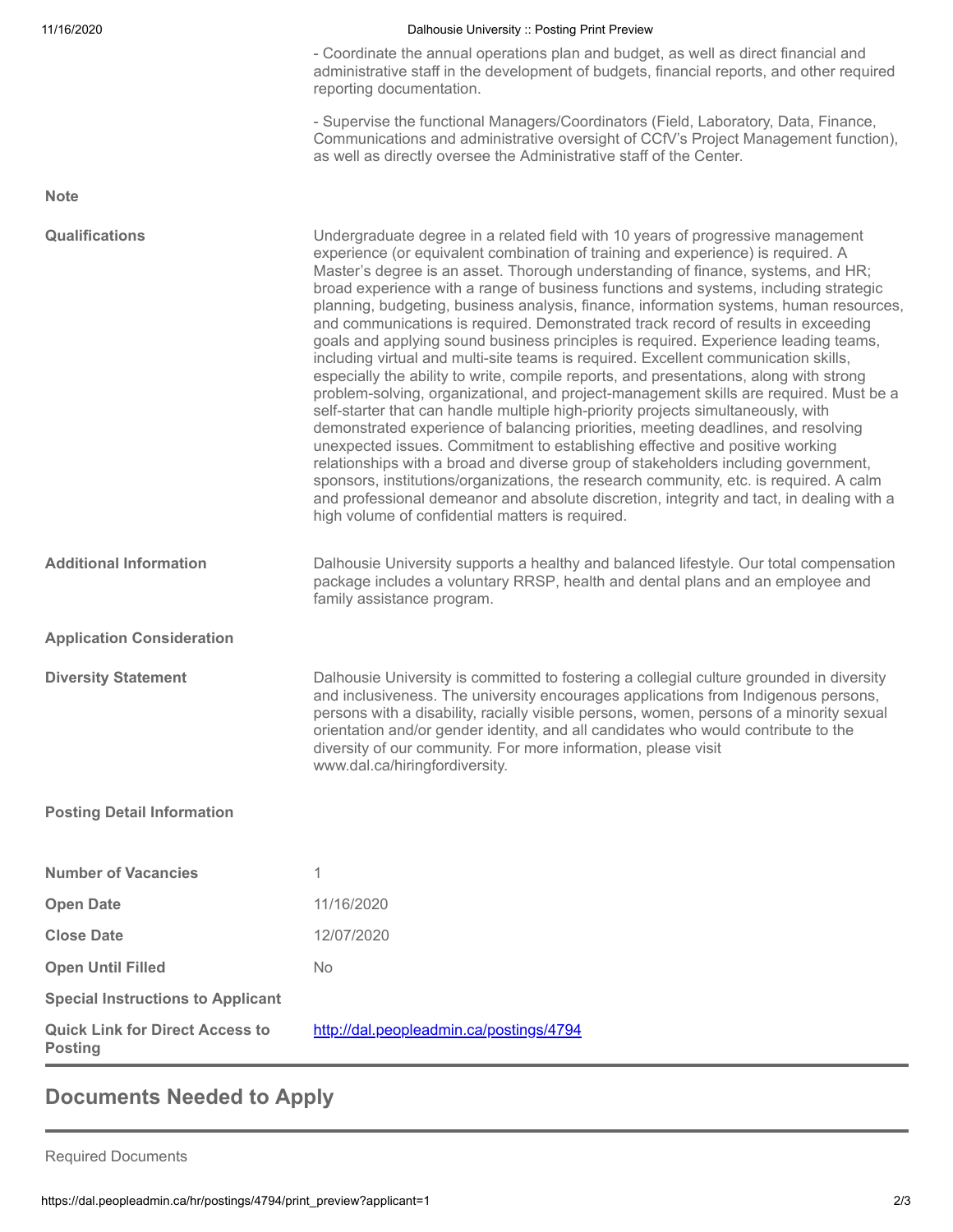### 11/16/2020 Dalhousie University :: Posting Print Preview

- Coordinate the annual operations plan and budget, as well as direct financial and administrative staff in the development of budgets, financial reports, and other required reporting documentation.

- Supervise the functional Managers/Coordinators (Field, Laboratory, Data, Finance, Communications and administrative oversight of CCfV's Project Management function), as well as directly oversee the Administrative staff of the Center.

| <b>Note</b>                                              |                                                                                                                                                                                                                                                                                                                                                                                                                                                                                                                                                                                                                                                                                                                                                                                                                                                                                                                                                                                                                                                                                                                                                                                                                                                                                                                                                                                                                                                                                            |
|----------------------------------------------------------|--------------------------------------------------------------------------------------------------------------------------------------------------------------------------------------------------------------------------------------------------------------------------------------------------------------------------------------------------------------------------------------------------------------------------------------------------------------------------------------------------------------------------------------------------------------------------------------------------------------------------------------------------------------------------------------------------------------------------------------------------------------------------------------------------------------------------------------------------------------------------------------------------------------------------------------------------------------------------------------------------------------------------------------------------------------------------------------------------------------------------------------------------------------------------------------------------------------------------------------------------------------------------------------------------------------------------------------------------------------------------------------------------------------------------------------------------------------------------------------------|
| <b>Qualifications</b>                                    | Undergraduate degree in a related field with 10 years of progressive management<br>experience (or equivalent combination of training and experience) is required. A<br>Master's degree is an asset. Thorough understanding of finance, systems, and HR;<br>broad experience with a range of business functions and systems, including strategic<br>planning, budgeting, business analysis, finance, information systems, human resources,<br>and communications is required. Demonstrated track record of results in exceeding<br>goals and applying sound business principles is required. Experience leading teams,<br>including virtual and multi-site teams is required. Excellent communication skills,<br>especially the ability to write, compile reports, and presentations, along with strong<br>problem-solving, organizational, and project-management skills are required. Must be a<br>self-starter that can handle multiple high-priority projects simultaneously, with<br>demonstrated experience of balancing priorities, meeting deadlines, and resolving<br>unexpected issues. Commitment to establishing effective and positive working<br>relationships with a broad and diverse group of stakeholders including government,<br>sponsors, institutions/organizations, the research community, etc. is required. A calm<br>and professional demeanor and absolute discretion, integrity and tact, in dealing with a<br>high volume of confidential matters is required. |
| <b>Additional Information</b>                            | Dalhousie University supports a healthy and balanced lifestyle. Our total compensation<br>package includes a voluntary RRSP, health and dental plans and an employee and<br>family assistance program.                                                                                                                                                                                                                                                                                                                                                                                                                                                                                                                                                                                                                                                                                                                                                                                                                                                                                                                                                                                                                                                                                                                                                                                                                                                                                     |
| <b>Application Consideration</b>                         |                                                                                                                                                                                                                                                                                                                                                                                                                                                                                                                                                                                                                                                                                                                                                                                                                                                                                                                                                                                                                                                                                                                                                                                                                                                                                                                                                                                                                                                                                            |
| <b>Diversity Statement</b>                               | Dalhousie University is committed to fostering a collegial culture grounded in diversity<br>and inclusiveness. The university encourages applications from Indigenous persons,<br>persons with a disability, racially visible persons, women, persons of a minority sexual<br>orientation and/or gender identity, and all candidates who would contribute to the<br>diversity of our community. For more information, please visit<br>www.dal.ca/hiringfordiversity.                                                                                                                                                                                                                                                                                                                                                                                                                                                                                                                                                                                                                                                                                                                                                                                                                                                                                                                                                                                                                       |
| <b>Posting Detail Information</b>                        |                                                                                                                                                                                                                                                                                                                                                                                                                                                                                                                                                                                                                                                                                                                                                                                                                                                                                                                                                                                                                                                                                                                                                                                                                                                                                                                                                                                                                                                                                            |
| <b>Number of Vacancies</b>                               | 1                                                                                                                                                                                                                                                                                                                                                                                                                                                                                                                                                                                                                                                                                                                                                                                                                                                                                                                                                                                                                                                                                                                                                                                                                                                                                                                                                                                                                                                                                          |
| <b>Open Date</b>                                         | 11/16/2020                                                                                                                                                                                                                                                                                                                                                                                                                                                                                                                                                                                                                                                                                                                                                                                                                                                                                                                                                                                                                                                                                                                                                                                                                                                                                                                                                                                                                                                                                 |
| <b>Close Date</b>                                        | 12/07/2020                                                                                                                                                                                                                                                                                                                                                                                                                                                                                                                                                                                                                                                                                                                                                                                                                                                                                                                                                                                                                                                                                                                                                                                                                                                                                                                                                                                                                                                                                 |
| <b>Open Until Filled</b>                                 | <b>No</b>                                                                                                                                                                                                                                                                                                                                                                                                                                                                                                                                                                                                                                                                                                                                                                                                                                                                                                                                                                                                                                                                                                                                                                                                                                                                                                                                                                                                                                                                                  |
| <b>Special Instructions to Applicant</b>                 |                                                                                                                                                                                                                                                                                                                                                                                                                                                                                                                                                                                                                                                                                                                                                                                                                                                                                                                                                                                                                                                                                                                                                                                                                                                                                                                                                                                                                                                                                            |
| <b>Quick Link for Direct Access to</b><br><b>Posting</b> | http://dal.peopleadmin.ca/postings/4794                                                                                                                                                                                                                                                                                                                                                                                                                                                                                                                                                                                                                                                                                                                                                                                                                                                                                                                                                                                                                                                                                                                                                                                                                                                                                                                                                                                                                                                    |

### **Documents Needed to Apply**

Required Documents